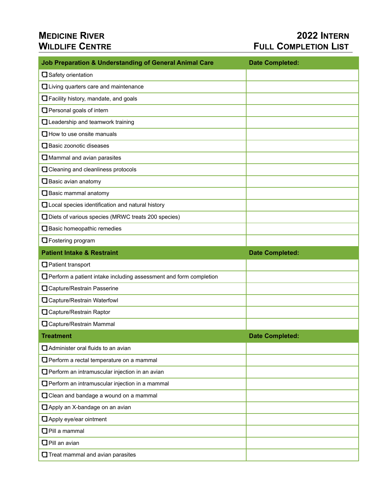## **MEDICINE RIVER 2022 INTERN WILDLIFE CENTRE COMPLETION LIST**

| <b>Job Preparation &amp; Understanding of General Animal Care</b>        | <b>Date Completed:</b> |
|--------------------------------------------------------------------------|------------------------|
| □ Safety orientation                                                     |                        |
| Living quarters care and maintenance                                     |                        |
| Facility history, mandate, and goals                                     |                        |
| Personal goals of intern                                                 |                        |
| Leadership and teamwork training                                         |                        |
| $\Box$ How to use onsite manuals                                         |                        |
| $\Box$ Basic zoonotic diseases                                           |                        |
| Mammal and avian parasites                                               |                        |
| Cleaning and cleanliness protocols                                       |                        |
| $\Box$ Basic avian anatomy                                               |                        |
| $\Box$ Basic mammal anatomy                                              |                        |
| Local species identification and natural history                         |                        |
| Diets of various species (MRWC treats 200 species)                       |                        |
| Basic homeopathic remedies                                               |                        |
| <b>O</b> Fostering program                                               |                        |
| <b>Patient Intake &amp; Restraint</b>                                    | <b>Date Completed:</b> |
| Patient transport                                                        |                        |
| $\Box$ Perform a patient intake including assessment and form completion |                        |
| Capture/Restrain Passerine                                               |                        |
| Capture/Restrain Waterfowl                                               |                        |
| Capture/Restrain Raptor                                                  |                        |
| Capture/Restrain Mammal                                                  |                        |
| <b>Treatment</b>                                                         | <b>Date Completed:</b> |
| Administer oral fluids to an avian                                       |                        |
| Perform a rectal temperature on a mammal                                 |                        |
| Perform an intramuscular injection in an avian                           |                        |
| Perform an intramuscular injection in a mammal                           |                        |
| Clean and bandage a wound on a mammal                                    |                        |
| Apply an X-bandage on an avian                                           |                        |
| Apply eye/ear ointment                                                   |                        |
| $\Box$ Pill a mammal                                                     |                        |
| $\Box$ Pill an avian                                                     |                        |
|                                                                          |                        |